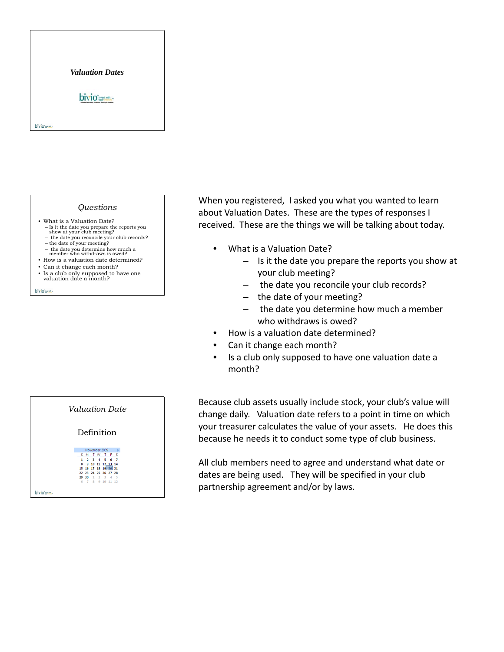

## *Questions*

- What is a Valuation Date? – Is it the date you prepare the reports you show at your club meeting? – the date you reconcile your club records?
	- the date of your meeting?
	- the date you determine how much a member who withdraws is owed?
- How is a valuation date determined?
- Can it change each month?
- Is a club only supposed to have one valuation date a month?

bivious-



When you registered, I asked you what you wanted to learn about Valuation Dates. These are the types of responses I received. These are the things we will be talking about today.

- What is a Valuation Date?
	- Is it the date you prepare the reports you show at your club meeting?
	- the date you reconcile your club records?
	- the date of your meeting?
	- the date you determine how much a member who withdraws is owed?
- How is a valuation date determined?
- Can it change each month?
- Is a club only supposed to have one valuation date a month?

Because club assets usually include stock, your club's value will change daily. Valuation date refers to a point in time on which your treasurer calculates the value of your assets. He does this because he needs it to conduct some type of club business.

All club members need to agree and understand what date or dates are being used. They will be specified in your club partnership agreement and/or by laws.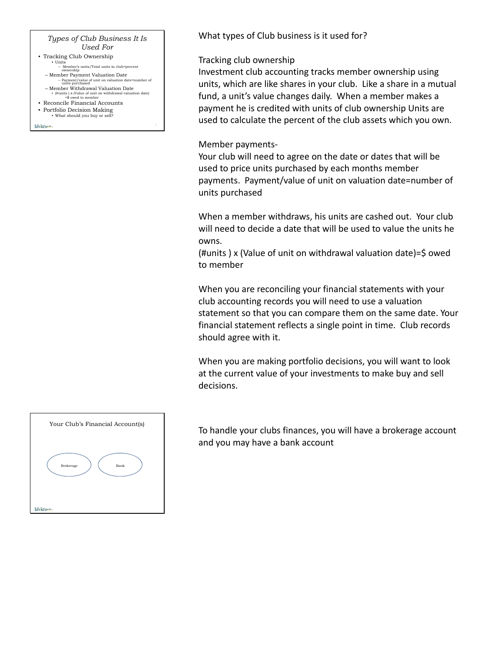# *Types of Club Business It Is Used For*

- Tracking Club Ownership
- Units Member's units/Total units in club=percent ownership
- Member Payment Valuation Date Payment/value of unit on valuation date=number of units purchased
- 
- Member Withdrawal Valuation Date (#units ) x (Value of unit on withdrawal valuation date) =\$ owed to member
- Reconcile Financial Accounts
- Portfolio Decision Making What should you buy or

bivio me

What types of Club business is it used for?

# Tracking club ownership

Investment club accounting tracks member ownership using units, which are like shares in your club. Like a share in a mutual fund, a unit's value changes daily. When a member makes a payment he is credited with units of club ownership Units are used to calculate the percent of the club assets which you own.

# Member payments‐

Your club will need to agree on the date or dates that will be used to price units purchased by each months member payments. Payment/value of unit on valuation date=number of units purchased

When a member withdraws, his units are cashed out. Your club will need to decide a date that will be used to value the units he owns.

(#units ) x (Value of unit on withdrawal valuation date)=\$ owed to member

When you are reconciling your financial statements with your club accounting records you will need to use a valuation statement so that you can compare them on the same date. Your financial statement reflects a single point in time. Club records should agree with it.

When you are making portfolio decisions, you will want to look at the current value of your investments to make buy and sell decisions.



To handle your clubs finances, you will have a brokerage account and you may have a bank account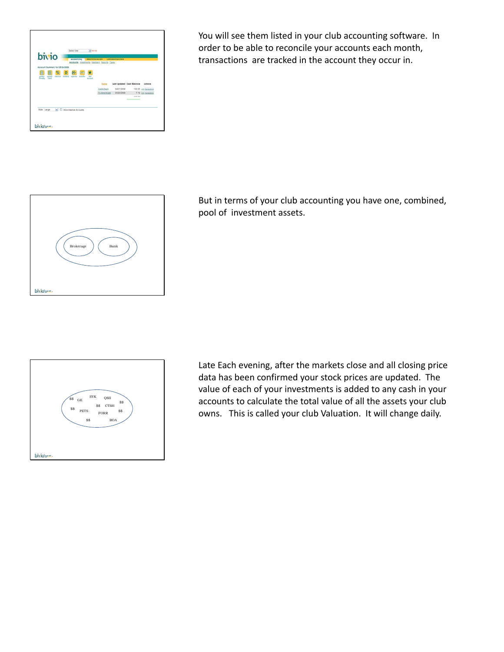

You will see them listed in your club accounting software. In order to be able to reconcile your accounts each month, transactions are tracked in the account they occur in.



But in terms of your club accounting you have one, combined, pool of investment assets.



Late Each evening, after the markets close and all closing price data has been confirmed your stock prices are updated. The value of each of your investments is added to any cash in your accounts to calculate the total value of all the assets your club owns. This is called your club Valuation. It will change daily.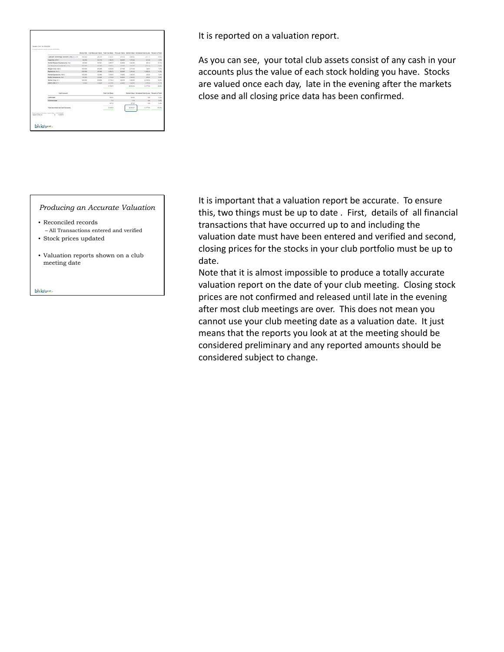|                                             |                    |               |                  |           |             | Hours link Cool Book per their Total Cool Book - Print per them there there including Decisional Person of Total |             |
|---------------------------------------------|--------------------|---------------|------------------|-----------|-------------|------------------------------------------------------------------------------------------------------------------|-------------|
| Countries Technology Edinburg Corp. CA CTER | 193.050            | Jan City      | 4,33.67          | 24 mins   | 1,010.00    | cent the                                                                                                         | <b>HOME</b> |
| <b>Figger but control</b>                   | at met             | <b>Winner</b> | 1,84.95          | 26 listed | <b>KING</b> | <b>WIND</b>                                                                                                      | <b>Vine</b> |
| Inscribed Bermanuels Australian Inc. (Fol.) | <b>AS ONE</b>      | $-0.762$      | 1481.7           | \$4,000   | (38.0)      | $441 + 43$                                                                                                       | $+1$        |
| and thereof & decomposes belowers           | <b>MARKET</b>      | <b>HALL</b>   | 1464             | 44,544    | 33436       | <b>CALLS</b>                                                                                                     | <b>MAG</b>  |
| become dangered in                          | <b>Hot control</b> | <b>22.328</b> | 8.108 MH         | \$1,7300  | 8.173 mm    | 101.01                                                                                                           | Table       |
| <b>Resident for Parties</b>                 | 12, 22, 23         | 70,000        | 4,552.75         | 31,000    | 1,14.41     | <b>COUNT</b>                                                                                                     | $11.2\%$    |
| Honesal European Inc. 412 T.S.              | est and            | $-4.1984$     | 120608           | 14,000    | 1,662,923   | <b>HEAR</b>                                                                                                      | 1,2%        |
| leads to reside by Jon.                     | <b>AS GRANT</b>    | $-100$        | $+ 194.46$       | At least  | d locking   | Als at                                                                                                           | <b>Fill</b> |
| <b>Brynar Gara (Em)</b>                     | 120,000            | 15,915,2      | 4,716.42         | 31.2-99   | 1,599.00    | 0.10182                                                                                                          | 10,0%       |
| been Corp. (177)                            | To price           | <b>JENGIN</b> | Alfred           | 21,269    | LIGHT       | L'alterno                                                                                                        | <b>KOW</b>  |
|                                             |                    |               | <b>14.708.70</b> |           | 24.65g day  | A FFAL-                                                                                                          | <b>H-PS</b> |
| <b>Cash Assumed</b>                         |                    |               | Total Chat Board |           |             | <b>Benefittive Director Card and Penant of Talak</b>                                                             |             |
| <b>Castle Back</b>                          |                    |               | TOTAL CO.        |           | TO IT       | 12                                                                                                               | 179         |
| <b>TE-Americans</b>                         |                    |               | 7.10             |           | 7.10        | 1.10                                                                                                             | 175         |
|                                             |                    |               | $-0.07, 225$     |           | 107.23      | 6.69                                                                                                             | 1.4%        |
|                                             |                    |               | <b>Hotel</b>     |           | <b>HARZ</b> | S. PT-66                                                                                                         | 44.4%       |

It is reported on a valuation report.

As you can see, your total club assets consist of any cash in your accounts plus the value of each stock holding you have. Stocks are valued once each day, late in the evening after the markets close and all closing price data has been confirmed.

## *Producing an Accurate Valuation*

- Reconciled records – All Transactions entered and verified
- Stock prices updated
- Valuation reports shown on a club meeting date

bivio me.

It is important that a valuation report be accurate. To ensure this, two things must be up to date . First, details of all financial transactions that have occurred up to and including the valuation date must have been entered and verified and second, closing prices for the stocks in your club portfolio must be up to date.

Note that it is almost impossible to produce a totally accurate valuation report on the date of your club meeting. Closing stock prices are not confirmed and released until late in the evening after most club meetings are over. This does not mean you cannot use your club meeting date as a valuation date. It just means that the reports you look at at the meeting should be considered preliminary and any reported amounts should be considered subject to change.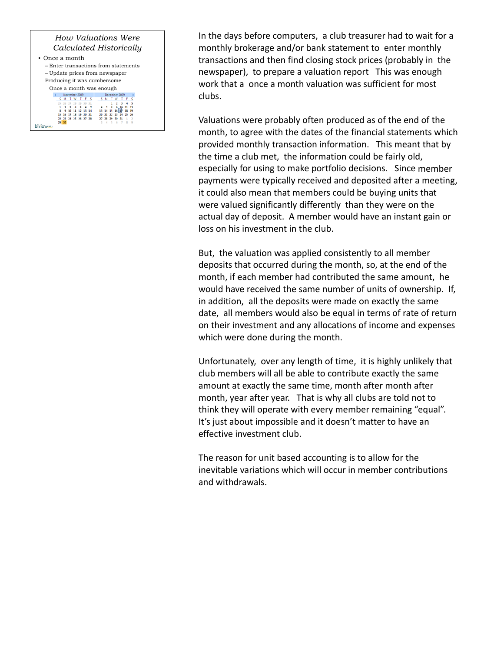### *How Valuations Were Calculated Historically* • Once a month

| 01100 u 111011011                    |                         |       |       |  |                |          |  |  |       |               |              |    |       |  |  |  |
|--------------------------------------|-------------------------|-------|-------|--|----------------|----------|--|--|-------|---------------|--------------|----|-------|--|--|--|
| – Enter transactions from statements |                         |       |       |  |                |          |  |  |       |               |              |    |       |  |  |  |
| - Update prices from newspaper       |                         |       |       |  |                |          |  |  |       |               |              |    |       |  |  |  |
| Producing it was cumbersome          |                         |       |       |  |                |          |  |  |       |               |              |    |       |  |  |  |
|                                      | Once a month was enough |       |       |  |                |          |  |  |       |               |              |    |       |  |  |  |
|                                      | November 2009           |       |       |  |                |          |  |  |       | December 2009 |              |    |       |  |  |  |
|                                      |                         |       |       |  | TWTFS          |          |  |  |       | м             | т            | w  |       |  |  |  |
|                                      |                         |       |       |  |                |          |  |  |       |               |              |    |       |  |  |  |
|                                      |                         |       |       |  |                |          |  |  |       |               |              |    |       |  |  |  |
|                                      |                         |       |       |  |                | 12 13 14 |  |  | 13 14 |               | 15           | 16 |       |  |  |  |
|                                      |                         |       | 16 17 |  | 18 19          | 20 21    |  |  |       | 20 21         | $\mathbf{v}$ |    | 23 24 |  |  |  |
|                                      |                         | 22 23 |       |  | 24 25 26 27 28 |          |  |  |       |               | 29           | зо | 31    |  |  |  |
|                                      | 29                      |       |       |  |                |          |  |  |       |               |              |    |       |  |  |  |
|                                      |                         |       |       |  |                |          |  |  |       |               |              |    |       |  |  |  |

In the days before computers, a club treasurer had to wait for a monthly brokerage and/or bank statement to enter monthly transactions and then find closing stock prices (probably in the newspaper), to prepare a valuation report This was enough work that a once a month valuation was sufficient for most clubs.

Valuations were probably often produced as of the end of the month, to agree with the dates of the financial statements which provided monthly transaction information. This meant that by the time a club met, the information could be fairly old, especially for using to make portfolio decisions. Since member payments were typically received and deposited after a meeting, it could also mean that members could be buying units that were valued significantly differently than they were on the actual day of deposit. A member would have an instant gain or loss on his investment in the club.

But, the valuation was applied consistently to all member deposits that occurred during the month, so, at the end of the month, if each member had contributed the same amount, he would have received the same number of units of ownership. If, in addition, all the deposits were made on exactly the same date, all members would also be equal in terms of rate of return on their investment and any allocations of income and expenses which were done during the month.

Unfortunately, over any length of time, it is highly unlikely that club members will all be able to contribute exactly the same amount at exactly the same time, month after month after month, year after year. That is why all clubs are told not to think they will operate with every member remaining "equal". It's just about impossible and it doesn't matter to have an effective investment club.

The reason for unit based accounting is to allow for the inevitable variations which will occur in member contributions and withdrawals.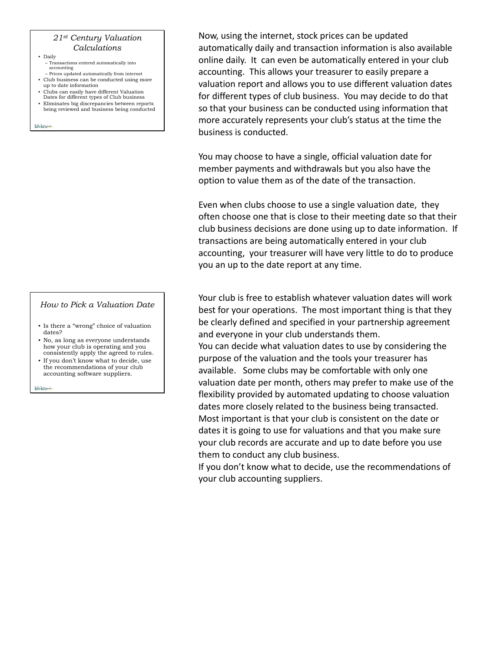## *21st Century Valuation Calculations*

- Daily
	- Transactions entered automatically into accounting
- Prices updated automatically from internet • Club business can be conducted using more
- up to date information
- Clubs can easily have different Valuation Dates for different types of Club business
- Eliminates big discrepancies between reports being reviewed and business being conducted

bivio me

# *How to Pick a Valuation Date*

- Is there a "wrong" choice of valuation dates?
- No, as long as everyone understands how your club is operating and you consistently apply the agreed to rules.
- If you don't know what to decide, use the recommendations of your club accounting software suppliers.

bivio me

Now, using the internet, stock prices can be updated automatically daily and transaction information is also available online daily. It can even be automatically entered in your club accounting. This allows your treasurer to easily prepare a valuation report and allows you to use different valuation dates for different types of club business. You may decide to do that so that your business can be conducted using information that more accurately represents your club's status at the time the business is conducted.

You may choose to have a single, official valuation date for member payments and withdrawals but you also have the option to value them as of the date of the transaction.

Even when clubs choose to use a single valuation date, they often choose one that is close to their meeting date so that their club business decisions are done using up to date information. If transactions are being automatically entered in your club accounting, your treasurer will have very little to do to produce you an up to the date report at any time.

Your club is free to establish whatever valuation dates will work best for your operations. The most important thing is that they be clearly defined and specified in your partnership agreement and everyone in your club understands them.

You can decide what valuation dates to use by considering the purpose of the valuation and the tools your treasurer has available. Some clubs may be comfortable with only one valuation date per month, others may prefer to make use of the flexibility provided by automated updating to choose valuation dates more closely related to the business being transacted. Most important is that your club is consistent on the date or dates it is going to use for valuations and that you make sure your club records are accurate and up to date before you use them to conduct any club business.

If you don't know what to decide, use the recommendations of your club accounting suppliers.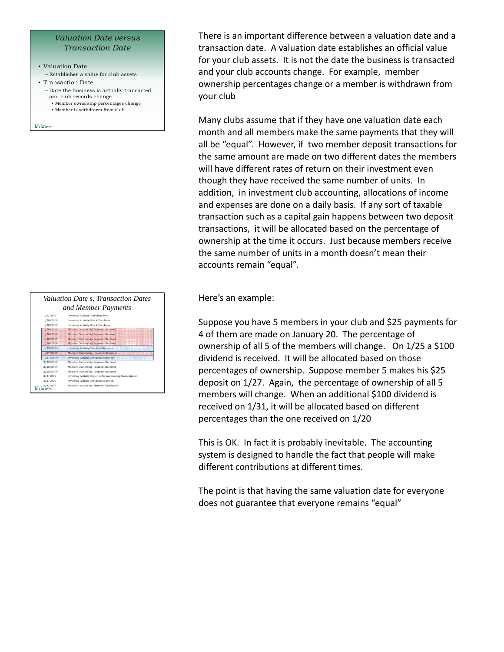## *Valuation Date versus Transaction Date*

- Valuation Date
- Establishes a value for club assets
- Transaction Date
- Date the business is actually transacted and club records change • Member ownership percentages change
	- Member is withdrawn from club

bivious.



There is an important difference between a valuation date and a transaction date. A valuation date establishes an official value for your club assets. It is not the date the business is transacted and your club accounts change. For example, member ownership percentages change or a member is withdrawn from your club

Many clubs assume that if they have one valuation date each month and all members make the same payments that they will all be "equal". However, if two member deposit transactions for the same amount are made on two different dates the members will have different rates of return on their investment even though they have received the same number of units. In addition, in investment club accounting, allocations of income and expenses are done on a daily basis. If any sort of taxable transaction such as a capital gain happens between two deposit transactions, it will be allocated based on the percentage of ownership at the time it occurs. Just because members receive the same number of units in a month doesn't mean their accounts remain "equal".

Here's an example:

Suppose you have 5 members in your club and \$25 payments for 4 of them are made on January 20. The percentage of ownership of all 5 of the members will change. On 1/25 a \$100 dividend is received. It will be allocated based on those percentages of ownership. Suppose member 5 makes his \$25 deposit on 1/27. Again, the percentage of ownership of all 5 members will change. When an additional \$100 dividend is received on 1/31, it will be allocated based on different percentages than the one received on 1/20

This is OK. In fact it is probably inevitable. The accounting system is designed to handle the fact that people will make different contributions at different times.

The point is that having the same valuation date for everyone does not guarantee that everyone remains "equal"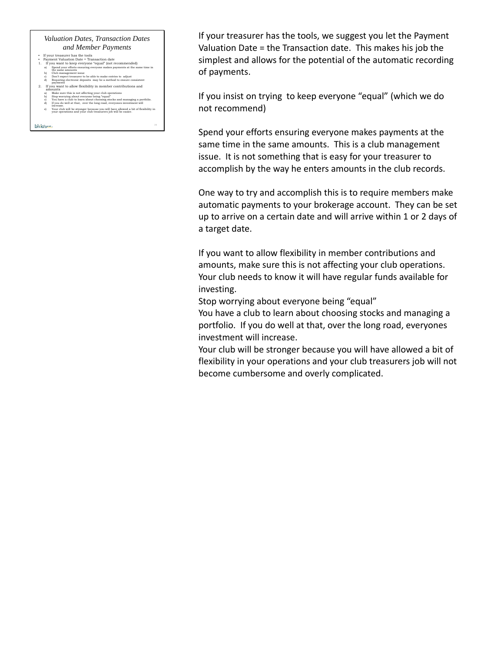#### *Valuation Dates, Transaction Dates and Member Payments*

- 
- 
- $\begin{array}{ll} \bullet\quad \text{ If your treatment's la state tools the total rate} \\ \bullet\quad \text{Pycurrent Valuation Date = Transaction date} \\ 1. \quad \text{If you want to keep everyone "equal" (not recommended) \\ \bullet\quad \text{else and can estimate using everyone makes payments at the same time in the same time.} \\ \bullet\quad \text{Sub management issue} \end{array}$ 
	-
- c) Don't expect treasurer to be able to make entries to adjust d) Requiring electronic deposits may be a method to ensure consistent payments  $\frac{2.01}{2}$  in to allow flexibility in member contributions and
- 
- 
- a) Make sure this is not affecting your club operations<br>b) Stop worrying about everyone being "equal"<br>c) You have a club to learn about choosing stocks and managing a portfolio.<br>d) If you do well at that, over the long roa
- e) Your club will be stronger because you will have allowed a bit of flexibility in your operations and your club treasurers job will be easier.

bivio me.

If your treasurer has the tools, we suggest you let the Payment Valuation Date = the Transaction date. This makes his job the simplest and allows for the potential of the automatic recording of payments.

If you insist on trying to keep everyone "equal" (which we do not recommend)

Spend your efforts ensuring everyone makes payments at the same time in the same amounts. This is a club management issue. It is not something that is easy for your treasurer to accomplish by the way he enters amounts in the club records.

One way to try and accomplish this is to require members make automatic payments to your brokerage account. They can be set up to arrive on a certain date and will arrive within 1 or 2 days of a target date.

If you want to allow flexibility in member contributions and amounts, make sure this is not affecting your club operations. Your club needs to know it will have regular funds available for investing.

Stop worrying about everyone being "equal"

You have a club to learn about choosing stocks and managing a portfolio. If you do well at that, over the long road, everyones investment will increase.

Your club will be stronger because you will have allowed a bit of flexibility in your operations and your club treasurers job will not become cumbersome and overly complicated.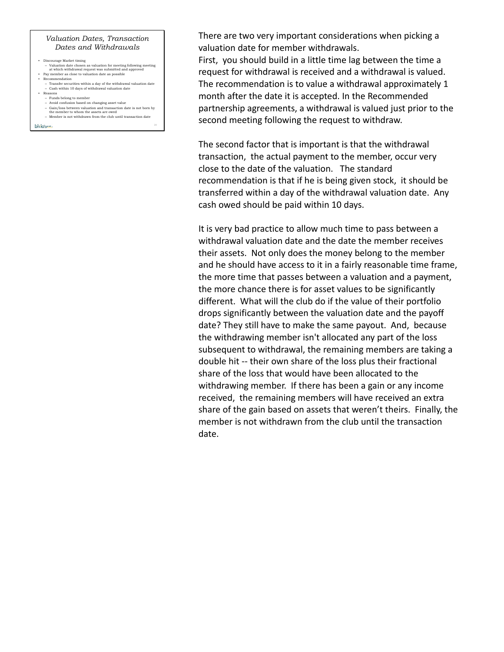### *Valuation Dates, Transaction Dates and Withdrawals*

- 
- Discourage Market timing Valuation date chosen as valuation for meeting following meeting at which withdrawal request was submitted and approved Pay member as close to valuation date as possible
- Recommendation – Transfer securities within a day of the withdrawal valuation date
- Cash within 10 days of withdrawal valuation date • Reasons – Funds belong to member
- Avoid confusion based on changing asset value
- Gain/loss between valuation and transaction date is not born by the member to whom the assets are owed
- Member is not withdrawn from the club until transaction date

```
bivious-
```
There are two very important considerations when picking a valuation date for member withdrawals.

First, you should build in a little time lag between the time a request for withdrawal is received and a withdrawal is valued. The recommendation is to value a withdrawal approximately 1 month after the date it is accepted. In the Recommended partnership agreements, a withdrawal is valued just prior to the second meeting following the request to withdraw.

The second factor that is important is that the withdrawal transaction, the actual payment to the member, occur very close to the date of the valuation. The standard recommendation is that if he is being given stock, it should be transferred within a day of the withdrawal valuation date. Any cash owed should be paid within 10 days.

It is very bad practice to allow much time to pass between a withdrawal valuation date and the date the member receives their assets. Not only does the money belong to the member and he should have access to it in a fairly reasonable time frame, the more time that passes between a valuation and a payment, the more chance there is for asset values to be significantly different. What will the club do if the value of their portfolio drops significantly between the valuation date and the payoff date? They still have to make the same payout. And, because the withdrawing member isn't allocated any part of the loss subsequent to withdrawal, the remaining members are taking a double hit ‐‐ their own share of the loss plus their fractional share of the loss that would have been allocated to the withdrawing member. If there has been a gain or any income received, the remaining members will have received an extra share of the gain based on assets that weren't theirs. Finally, the member is not withdrawn from the club until the transaction date.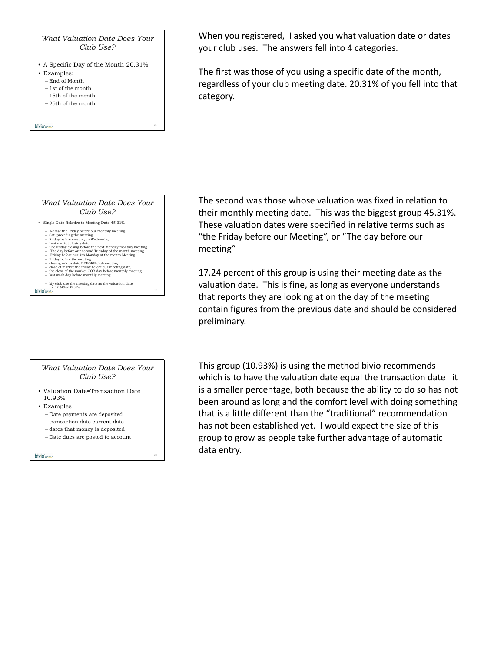*What Valuation Date Does Your Club Use?*

- A Specific Day of the Month-20.31%
- Examples:
	- End of Month
	- 1st of the month – 15th of the month
	- 25th of the month
	-

bivious-



#### *What Valuation Date Does Your Club Use?*

- Valuation Date=Transaction Date 10.93%
- Examples
	- Date payments are deposited
	- transaction date current date
	- dates that money is deposited
	- Date dues are posted to account

bivio-

When you registered, I asked you what valuation date or dates your club uses. The answers fell into 4 categories.

The first was those of you using a specific date of the month, regardless of your club meeting date. 20.31% of you fell into that category.

The second was those whose valuation was fixed in relation to their monthly meeting date. This was the biggest group 45.31%. These valuation dates were specified in relative terms such as "the Friday before our Meeting", or "The day before our meeting"

17.24 percent of this group is using their meeting date as the valuation date. This is fine, as long as everyone understands that reports they are looking at on the day of the meeting contain figures from the previous date and should be considered preliminary.

This group (10.93%) is using the method bivio recommends which is to have the valuation date equal the transaction date it is a smaller percentage, both because the ability to do so has not been around as long and the comfort level with doing something that is a little different than the "traditional" recommendation has not been established yet. I would expect the size of this group to grow as people take further advantage of automatic data entry.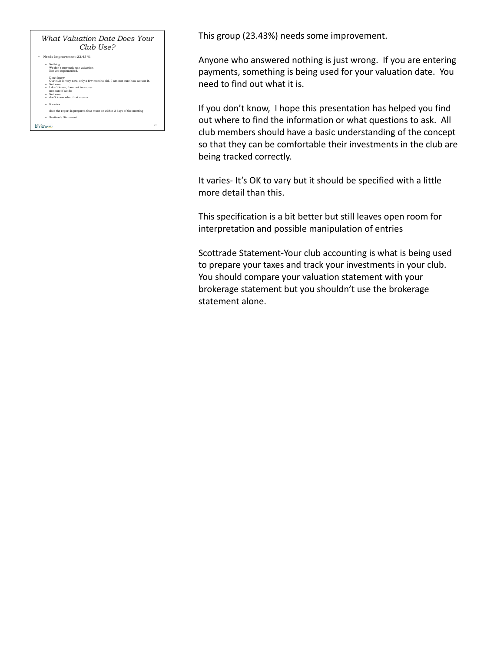

This group (23.43%) needs some improvement.

Anyone who answered nothing is just wrong. If you are entering payments, something is being used for your valuation date. You need to find out what it is.

If you don't know, I hope this presentation has helped you find out where to find the information or what questions to ask. All club members should have a basic understanding of the concept so that they can be comfortable their investments in the club are being tracked correctly.

It varies‐ It's OK to vary but it should be specified with a little more detail than this.

This specification is a bit better but still leaves open room for interpretation and possible manipulation of entries

Scottrade Statement‐Your club accounting is what is being used to prepare your taxes and track your investments in your club. You should compare your valuation statement with your brokerage statement but you shouldn't use the brokerage statement alone.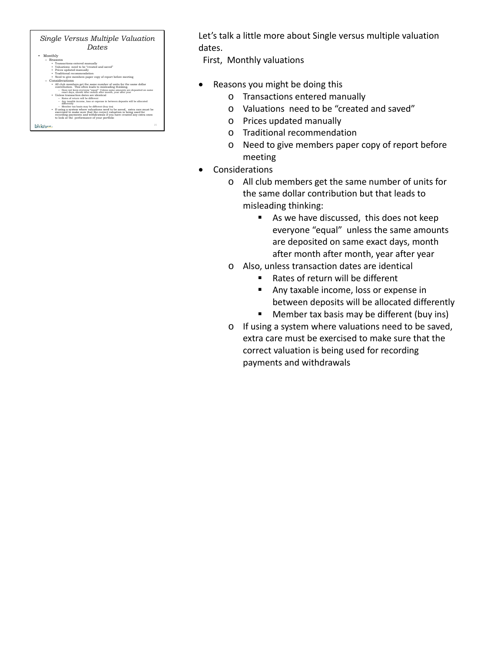| Single Versus Multiple Valuation<br>Dates                                                                                                                                                                                                                                 |  |
|---------------------------------------------------------------------------------------------------------------------------------------------------------------------------------------------------------------------------------------------------------------------------|--|
| Monthly<br>٠                                                                                                                                                                                                                                                              |  |
| - Reasons                                                                                                                                                                                                                                                                 |  |
| · Transactions entered manually                                                                                                                                                                                                                                           |  |
| . Valuations, need to be "created and saved"                                                                                                                                                                                                                              |  |
| • Prices updated manually                                                                                                                                                                                                                                                 |  |
| · Traditional recommendation                                                                                                                                                                                                                                              |  |
| • Need to give members paper copy of report before meeting                                                                                                                                                                                                                |  |
| $-$ Considerations                                                                                                                                                                                                                                                        |  |
| • All club members get the same number of units for the same dollar<br>contribution. This often leads to misleading thinking.                                                                                                                                             |  |
| - Does not keep everyone "equal" Unless same amounts are deposited on same                                                                                                                                                                                                |  |
| exact days, month after month after month, year after year                                                                                                                                                                                                                |  |
| · Unless transaction dates are identical                                                                                                                                                                                                                                  |  |
| - Rates of return will be different<br>- Any taxable income, loss or expense in between deposits will be allocated                                                                                                                                                        |  |
| differently                                                                                                                                                                                                                                                               |  |
| - Member tax basis may be different (buy ins)                                                                                                                                                                                                                             |  |
| • If using a system where valuations need to be saved, extra care must be<br>exercised to make sure that the correct valuation is being used for<br>recording payments and withdrawals if you have created any extra ones<br>to look at the performance of your portfolio |  |
| つら                                                                                                                                                                                                                                                                        |  |

Let's talk a little more about Single versus multiple valuation dates.

First, Monthly valuations

- Reasons you might be doing this
	- o Transactions entered manually
	- o Valuations need to be "created and saved"
	- o Prices updated manually
	- o Traditional recommendation
	- o Need to give members paper copy of report before meeting
- Considerations
	- o All club members get the same number of units for the same dollar contribution but that leads to misleading thinking:
		- As we have discussed, this does not keep everyone "equal" unless the same amounts are deposited on same exact days, month after month after month, year after year
	- o Also, unless transaction dates are identical
		- Rates of return will be different
		- Any taxable income, loss or expense in between deposits will be allocated differently
		- **Member tax basis may be different (buy ins)**
	- o If using a system where valuations need to be saved, extra care must be exercised to make sure that the correct valuation is being used for recording payments and withdrawals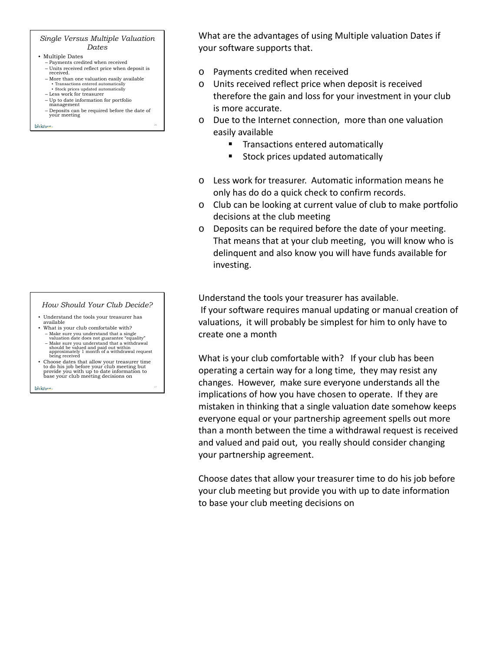#### *Single Versus Multiple Valuation Dates*

- Multiple Dates
	- Payments credited when received
	- Units received reflect price when deposit is received.
	- More than one valuation easily available • Transactions entered automatically • Stock prices updated automatically
	- Less work for treasurer
	- Up to date information for portfolio management
	- Deposits can be required before the date of your meeting

bivio-

# *How Should Your Club Decide?*

- Understand the tools your treasurer has available
- What is your club comfortable with?
	- Make sure you understand that a single<br>valuation date does not guarantee "equality"<br>- Make sure you understand that a withdrawal<br>should be valued and paid out within<br>approximately 1 month of a withdrawal request<br>being re
- Choose dates that allow your treasurer time to do his job before your club meeting but provide you with up to date information to base your club meeting decisions on

bivio me

What are the advantages of using Multiple valuation Dates if your software supports that.

- o Payments credited when received
- o Units received reflect price when deposit is received therefore the gain and loss for your investment in your club is more accurate.
- o Due to the Internet connection, more than one valuation easily available
	- **Transactions entered automatically**
	- **Stock prices updated automatically**
- o Less work for treasurer. Automatic information means he only has do do a quick check to confirm records.
- o Club can be looking at current value of club to make portfolio decisions at the club meeting
- o Deposits can be required before the date of your meeting. That means that at your club meeting, you will know who is delinquent and also know you will have funds available for investing.

Understand the tools your treasurer has available. If your software requires manual updating or manual creation of valuations, it will probably be simplest for him to only have to create one a month

What is your club comfortable with? If your club has been operating a certain way for a long time, they may resist any changes. However, make sure everyone understands all the implications of how you have chosen to operate. If they are mistaken in thinking that a single valuation date somehow keeps everyone equal or your partnership agreement spells out more than a month between the time a withdrawal request is received and valued and paid out, you really should consider changing your partnership agreement.

Choose dates that allow your treasurer time to do his job before your club meeting but provide you with up to date information to base your club meeting decisions on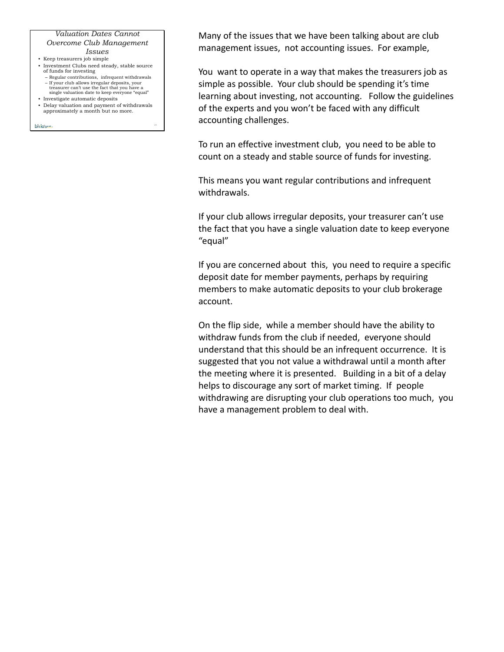# *Valuation Dates Cannot Overcome Club Management*

- *Issues* • Keep treasurers job simple
	-
- Investment Clubs need steady, stable source of funds for investing – Regular contributions, infrequent withdrawals
	- If your club allows irregular deposits, your treasurer can't use the fact that you have a single valuation date to keep everyone "equal"
- Investigate automatic deposits
- Delay valuation and payment of withdrawals approximately a month but no more.

bivio me-

Many of the issues that we have been talking about are club management issues, not accounting issues. For example,

You want to operate in a way that makes the treasurers job as simple as possible. Your club should be spending it's time learning about investing, not accounting. Follow the guidelines of the experts and you won't be faced with any difficult accounting challenges.

To run an effective investment club, you need to be able to count on a steady and stable source of funds for investing.

This means you want regular contributions and infrequent withdrawals.

If your club allows irregular deposits, your treasurer can't use the fact that you have a single valuation date to keep everyone "equal"

If you are concerned about this, you need to require a specific deposit date for member payments, perhaps by requiring members to make automatic deposits to your club brokerage account.

On the flip side, while a member should have the ability to withdraw funds from the club if needed, everyone should understand that this should be an infrequent occurrence. It is suggested that you not value a withdrawal until a month after the meeting where it is presented. Building in a bit of a delay helps to discourage any sort of market timing. If people withdrawing are disrupting your club operations too much, you have a management problem to deal with.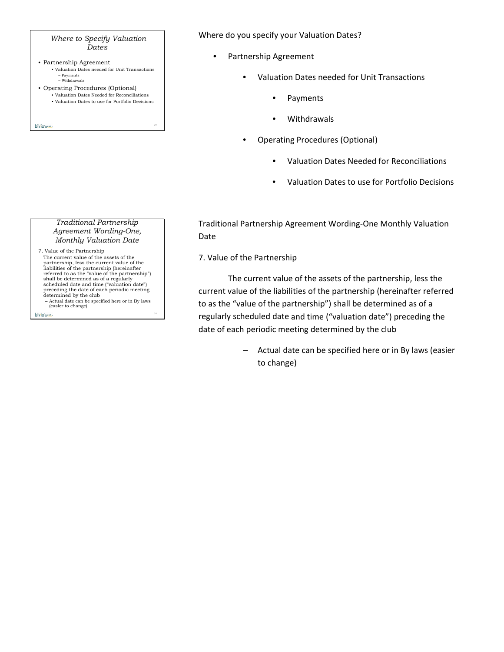## *Where to Specify Valuation Dates*

- Partnership Agreement • Valuation Dates needed for Unit Transactions – Payments – Withdrawals
- Operating Procedures (Optional)

bivio me

- Valuation Dates Needed for Reconciliations
- Valuation Dates to use for Portfolio Decisions

*Traditional Partnership Agreement Wording-One, Monthly Valuation Date* 

7. Value of the Partnership The current value of the assets of the partnership, less the current value of the liabilities of the partnership (hereinafter referred to as the "value of the partnership") shall be determined as of a regularly scheduled date and time ("valuation date") preceding the date of each periodic meeting determined by the club

– Actual date can be specified here or in By laws (easier to change) bivio me

Where do you specify your Valuation Dates?

- Partnership Agreement
	- Valuation Dates needed for Unit Transactions
		- Payments
		- Withdrawals
	- Operating Procedures (Optional)
		- Valuation Dates Needed for Reconciliations
		- Valuation Dates to use for Portfolio Decisions

Traditional Partnership Agreement Wording‐One Monthly Valuation Date

# 7. Value of the Partnership

The current value of the assets of the partnership, less the current value of the liabilities of the partnership (hereinafter referred to as the "value of the partnership") shall be determined as of a regularly scheduled date and time ("valuation date") preceding the date of each periodic meeting determined by the club

> – Actual date can be specified here or in By laws (easier to change)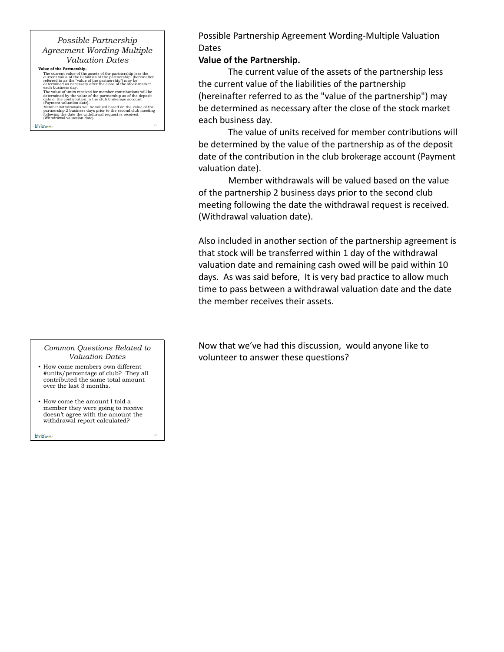# *Possible Partnership Agreement Wording-Multiple Valuation Dates*

**Value of the Partnership.**<br>The current value of the assets of the partnership less the current value of the liabilities of the partnership' (bereinafter referred to as the 'value of the partnership') may be determined as

bivio-

The value of units received for member contributions will be<br>determined by the value of the partnership as of the deposit<br>date of the contribution in the club brokerage account<br>(Payment valuation date).<br>Member withdrawals

*Common Questions Related to Valuation Dates*

- How come members own different #units/percentage of club? They all contributed the same total amount over the last 3 months.
- How come the amount I told a member they were going to receive doesn't agree with the amount the withdrawal report calculated?

bivio-

Possible Partnership Agreement Wording‐Multiple Valuation Dates

# **Value of the Partnership.**

The current value of the assets of the partnership less the current value of the liabilities of the partnership (hereinafter referred to as the "value of the partnership") may be determined as necessary after the close of the stock market each business day.

The value of units received for member contributions will be determined by the value of the partnership as of the deposit date of the contribution in the club brokerage account (Payment valuation date).

Member withdrawals will be valued based on the value of the partnership 2 business days prior to the second club meeting following the date the withdrawal request is received. (Withdrawal valuation date).

Also included in another section of the partnership agreement is that stock will be transferred within 1 day of the withdrawal valuation date and remaining cash owed will be paid within 10 days. As was said before, It is very bad practice to allow much time to pass between a withdrawal valuation date and the date the member receives their assets.

Now that we've had this discussion, would anyone like to volunteer to answer these questions?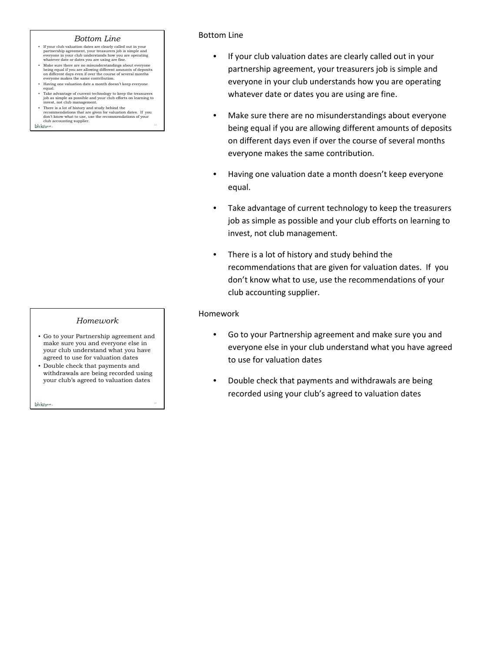#### *Bottom Line*

- If your club valuation dates are clearly called out in your partnership agreement, your treasurers job is simple and everyone in your club understands how you are operating whatever date or dates you are using are fine.
- Make sure there are no misunderstandings about everyone being equal if you are allowing different amounts of deposits on different days even if over the course of several months everyone makes the same contribution.
- Having one valuation date a month doesn't keep everyone
- equal. Take advantage of current technology to keep the treasurers job as simple as possible and your club efforts on learning to invest, not club management.
- There is a lot of history and study behind the momendations that are given for valuation dates. If you club accounting supplier.<br>
club accounting supplier.

## *Homework*

- Go to your Partnership agreement and make sure you and everyone else in your club understand what you have agreed to use for valuation dates
- Double check that payments and withdrawals are being recorded using your club's agreed to valuation dates

bivio me.

# Bottom Line

- If your club valuation dates are clearly called out in your partnership agreement, your treasurers job is simple and everyone in your club understands how you are operating whatever date or dates you are using are fine.
- Make sure there are no misunderstandings about everyone being equal if you are allowing different amounts of deposits on different days even if over the course of several months everyone makes the same contribution.
- Having one valuation date a month doesn't keep everyone equal.
- Take advantage of current technology to keep the treasurers job as simple as possible and your club efforts on learning to invest, not club management.
- There is a lot of history and study behind the recommendations that are given for valuation dates. If you don't know what to use, use the recommendations of your club accounting supplier.

## Homework

- Go to your Partnership agreement and make sure you and everyone else in your club understand what you have agreed to use for valuation dates
- Double check that payments and withdrawals are being recorded using your club's agreed to valuation dates